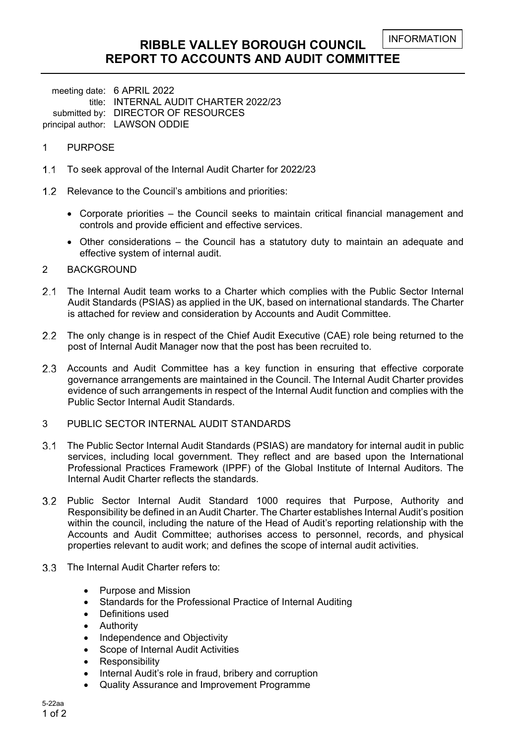# **RIBBLE VALLEY BOROUGH COUNCIL REPORT TO ACCOUNTS AND AUDIT COMMITTEE**

meeting date: 6 APRIL 2022 title: INTERNAL AUDIT CHARTER 2022/23 submitted by: DIRECTOR OF RESOURCES principal author: LAWSON ODDIE

#### 1 PURPOSE

- 1.1 To seek approval of the Internal Audit Charter for 2022/23
- 1.2 Relevance to the Council's ambitions and priorities:
	- Corporate priorities the Council seeks to maintain critical financial management and controls and provide efficient and effective services.
	- Other considerations the Council has a statutory duty to maintain an adequate and effective system of internal audit.
- 2 BACKGROUND
- 2.1 The Internal Audit team works to a Charter which complies with the Public Sector Internal Audit Standards (PSIAS) as applied in the UK, based on international standards. The Charter is attached for review and consideration by Accounts and Audit Committee.
- 2.2 The only change is in respect of the Chief Audit Executive (CAE) role being returned to the post of Internal Audit Manager now that the post has been recruited to.
- 2.3 Accounts and Audit Committee has a key function in ensuring that effective corporate governance arrangements are maintained in the Council. The Internal Audit Charter provides evidence of such arrangements in respect of the Internal Audit function and complies with the Public Sector Internal Audit Standards.
- 3 PUBLIC SECTOR INTERNAL AUDIT STANDARDS
- The Public Sector Internal Audit Standards (PSIAS) are mandatory for internal audit in public services, including local government. They reflect and are based upon the International Professional Practices Framework (IPPF) of the Global Institute of Internal Auditors. The Internal Audit Charter reflects the standards.
- Public Sector Internal Audit Standard 1000 requires that Purpose, Authority and Responsibility be defined in an Audit Charter. The Charter establishes Internal Audit's position within the council, including the nature of the Head of Audit's reporting relationship with the Accounts and Audit Committee; authorises access to personnel, records, and physical properties relevant to audit work; and defines the scope of internal audit activities.
- 3.3 The Internal Audit Charter refers to:
	- Purpose and Mission
	- Standards for the Professional Practice of Internal Auditing
	- Definitions used
	- Authority
	- Independence and Objectivity
	- Scope of Internal Audit Activities
	- Responsibility
	- Internal Audit's role in fraud, bribery and corruption
	- Quality Assurance and Improvement Programme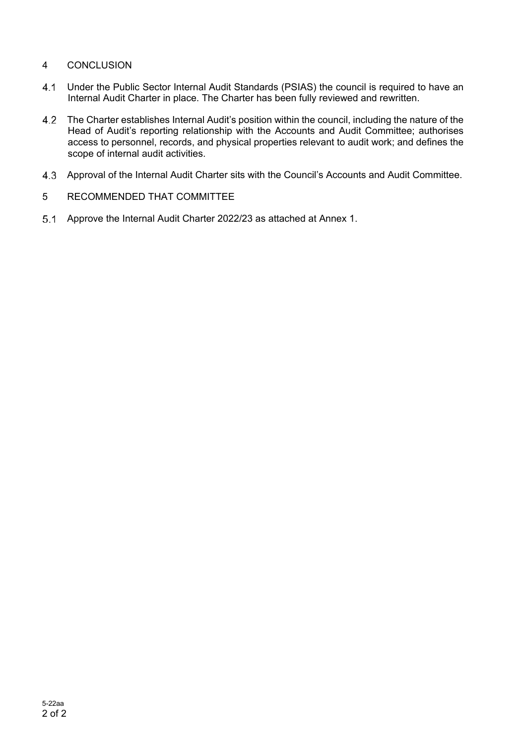# 4 CONCLUSION

- Under the Public Sector Internal Audit Standards (PSIAS) the council is required to have an Internal Audit Charter in place. The Charter has been fully reviewed and rewritten.
- The Charter establishes Internal Audit's position within the council, including the nature of the Head of Audit's reporting relationship with the Accounts and Audit Committee; authorises access to personnel, records, and physical properties relevant to audit work; and defines the scope of internal audit activities.
- Approval of the Internal Audit Charter sits with the Council's Accounts and Audit Committee.
- 5 RECOMMENDED THAT COMMITTEE
- Approve the Internal Audit Charter 2022/23 as attached at Annex 1.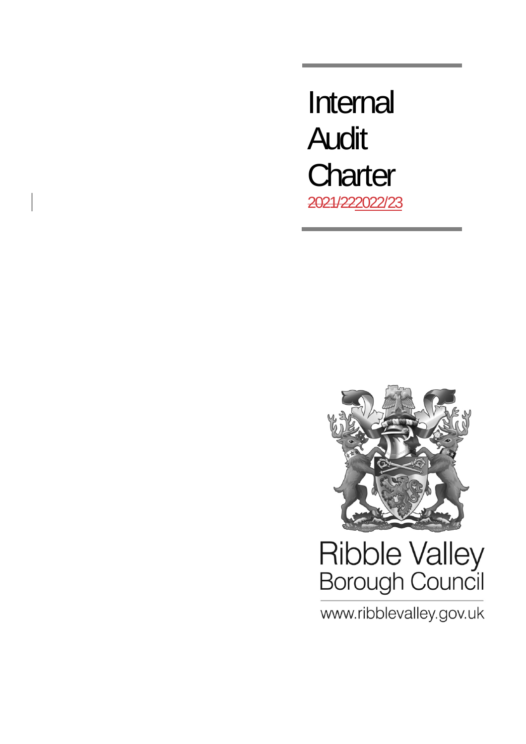Internal Audit **Charter** 2021/222022/23



# Ribble Valley<br>Borough Council

www.ribblevalley.gov.uk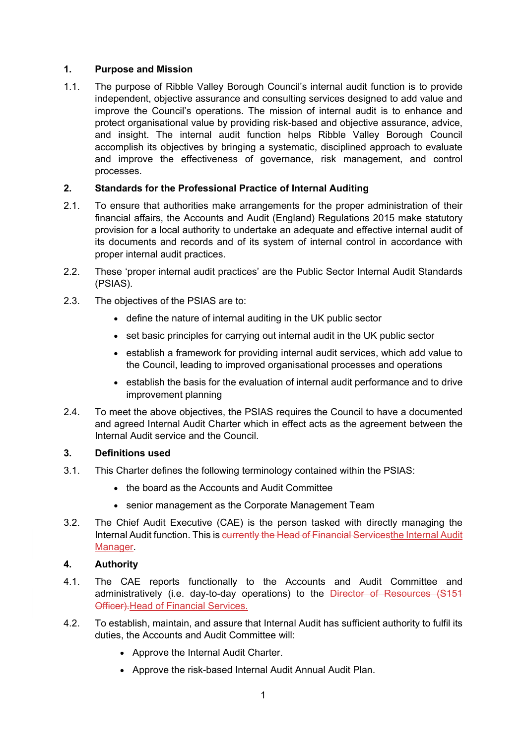# **1. Purpose and Mission**

1.1. The purpose of Ribble Valley Borough Council's internal audit function is to provide independent, objective assurance and consulting services designed to add value and improve the Council's operations. The mission of internal audit is to enhance and protect organisational value by providing risk-based and objective assurance, advice, and insight. The internal audit function helps Ribble Valley Borough Council accomplish its objectives by bringing a systematic, disciplined approach to evaluate and improve the effectiveness of governance, risk management, and control processes.

# **2. Standards for the Professional Practice of Internal Auditing**

- 2.1. To ensure that authorities make arrangements for the proper administration of their financial affairs, the Accounts and Audit (England) Regulations 2015 make statutory provision for a local authority to undertake an adequate and effective internal audit of its documents and records and of its system of internal control in accordance with proper internal audit practices.
- 2.2. These 'proper internal audit practices' are the Public Sector Internal Audit Standards (PSIAS).
- 2.3. The objectives of the PSIAS are to:
	- define the nature of internal auditing in the UK public sector
	- set basic principles for carrying out internal audit in the UK public sector
	- establish a framework for providing internal audit services, which add value to the Council, leading to improved organisational processes and operations
	- establish the basis for the evaluation of internal audit performance and to drive improvement planning
- 2.4. To meet the above objectives, the PSIAS requires the Council to have a documented and agreed Internal Audit Charter which in effect acts as the agreement between the Internal Audit service and the Council.

#### **3. Definitions used**

- 3.1. This Charter defines the following terminology contained within the PSIAS:
	- the board as the Accounts and Audit Committee
	- senior management as the Corporate Management Team
- 3.2. The Chief Audit Executive (CAE) is the person tasked with directly managing the Internal Audit function. This is currently the Head of Financial Servicesthe Internal Audit Manager.

#### **4. Authority**

- 4.1. The CAE reports functionally to the Accounts and Audit Committee and administratively (i.e. day-to-day operations) to the Director of Resources (S151 Officer).Head of Financial Services.
- 4.2. To establish, maintain, and assure that Internal Audit has sufficient authority to fulfil its duties, the Accounts and Audit Committee will:
	- Approve the Internal Audit Charter.
	- Approve the risk-based Internal Audit Annual Audit Plan.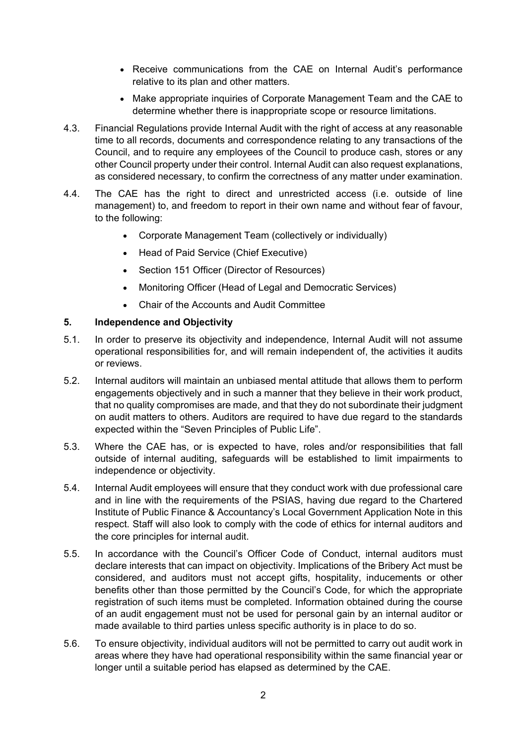- Receive communications from the CAE on Internal Audit's performance relative to its plan and other matters.
- Make appropriate inquiries of Corporate Management Team and the CAE to determine whether there is inappropriate scope or resource limitations.
- 4.3. Financial Regulations provide Internal Audit with the right of access at any reasonable time to all records, documents and correspondence relating to any transactions of the Council, and to require any employees of the Council to produce cash, stores or any other Council property under their control. Internal Audit can also request explanations, as considered necessary, to confirm the correctness of any matter under examination.
- 4.4. The CAE has the right to direct and unrestricted access (i.e. outside of line management) to, and freedom to report in their own name and without fear of favour, to the following:
	- Corporate Management Team (collectively or individually)
	- Head of Paid Service (Chief Executive)
	- Section 151 Officer (Director of Resources)
	- Monitoring Officer (Head of Legal and Democratic Services)
	- Chair of the Accounts and Audit Committee

#### **5. Independence and Objectivity**

- 5.1. In order to preserve its objectivity and independence, Internal Audit will not assume operational responsibilities for, and will remain independent of, the activities it audits or reviews.
- 5.2. Internal auditors will maintain an unbiased mental attitude that allows them to perform engagements objectively and in such a manner that they believe in their work product, that no quality compromises are made, and that they do not subordinate their judgment on audit matters to others. Auditors are required to have due regard to the standards expected within the "Seven Principles of Public Life".
- 5.3. Where the CAE has, or is expected to have, roles and/or responsibilities that fall outside of internal auditing, safeguards will be established to limit impairments to independence or objectivity.
- 5.4. Internal Audit employees will ensure that they conduct work with due professional care and in line with the requirements of the PSIAS, having due regard to the Chartered Institute of Public Finance & Accountancy's Local Government Application Note in this respect. Staff will also look to comply with the code of ethics for internal auditors and the core principles for internal audit.
- 5.5. In accordance with the Council's Officer Code of Conduct, internal auditors must declare interests that can impact on objectivity. Implications of the Bribery Act must be considered, and auditors must not accept gifts, hospitality, inducements or other benefits other than those permitted by the Council's Code, for which the appropriate registration of such items must be completed. Information obtained during the course of an audit engagement must not be used for personal gain by an internal auditor or made available to third parties unless specific authority is in place to do so.
- 5.6. To ensure objectivity, individual auditors will not be permitted to carry out audit work in areas where they have had operational responsibility within the same financial year or longer until a suitable period has elapsed as determined by the CAE.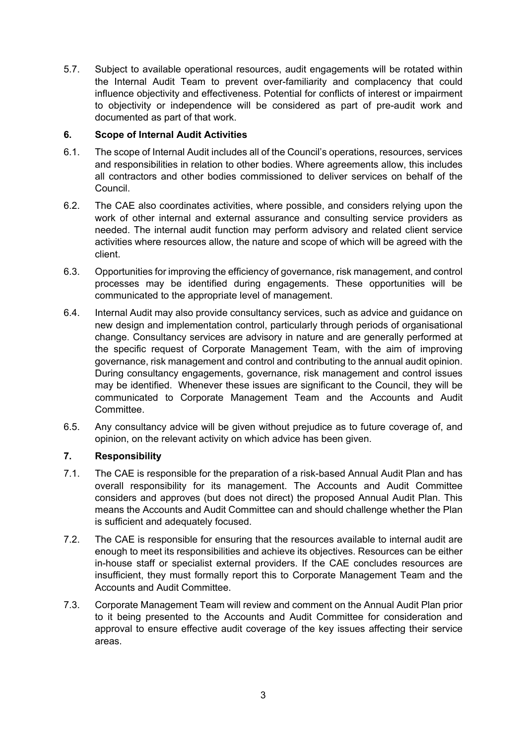5.7. Subject to available operational resources, audit engagements will be rotated within the Internal Audit Team to prevent over-familiarity and complacency that could influence objectivity and effectiveness. Potential for conflicts of interest or impairment to objectivity or independence will be considered as part of pre-audit work and documented as part of that work.

# **6. Scope of Internal Audit Activities**

- 6.1. The scope of Internal Audit includes all of the Council's operations, resources, services and responsibilities in relation to other bodies. Where agreements allow, this includes all contractors and other bodies commissioned to deliver services on behalf of the Council.
- 6.2. The CAE also coordinates activities, where possible, and considers relying upon the work of other internal and external assurance and consulting service providers as needed. The internal audit function may perform advisory and related client service activities where resources allow, the nature and scope of which will be agreed with the client.
- 6.3. Opportunities for improving the efficiency of governance, risk management, and control processes may be identified during engagements. These opportunities will be communicated to the appropriate level of management.
- 6.4. Internal Audit may also provide consultancy services, such as advice and guidance on new design and implementation control, particularly through periods of organisational change. Consultancy services are advisory in nature and are generally performed at the specific request of Corporate Management Team, with the aim of improving governance, risk management and control and contributing to the annual audit opinion. During consultancy engagements, governance, risk management and control issues may be identified. Whenever these issues are significant to the Council, they will be communicated to Corporate Management Team and the Accounts and Audit Committee.
- 6.5. Any consultancy advice will be given without prejudice as to future coverage of, and opinion, on the relevant activity on which advice has been given.

# **7. Responsibility**

- 7.1. The CAE is responsible for the preparation of a risk-based Annual Audit Plan and has overall responsibility for its management. The Accounts and Audit Committee considers and approves (but does not direct) the proposed Annual Audit Plan. This means the Accounts and Audit Committee can and should challenge whether the Plan is sufficient and adequately focused.
- 7.2. The CAE is responsible for ensuring that the resources available to internal audit are enough to meet its responsibilities and achieve its objectives. Resources can be either in-house staff or specialist external providers. If the CAE concludes resources are insufficient, they must formally report this to Corporate Management Team and the Accounts and Audit Committee.
- 7.3. Corporate Management Team will review and comment on the Annual Audit Plan prior to it being presented to the Accounts and Audit Committee for consideration and approval to ensure effective audit coverage of the key issues affecting their service areas.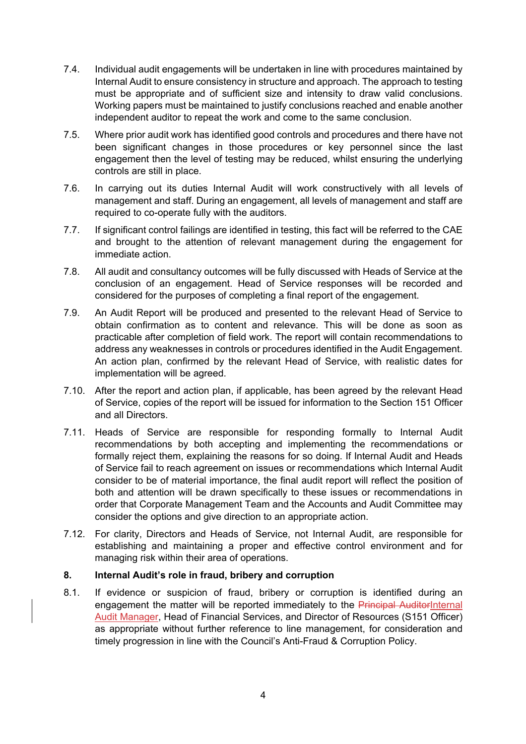- 7.4. Individual audit engagements will be undertaken in line with procedures maintained by Internal Audit to ensure consistency in structure and approach. The approach to testing must be appropriate and of sufficient size and intensity to draw valid conclusions. Working papers must be maintained to justify conclusions reached and enable another independent auditor to repeat the work and come to the same conclusion.
- 7.5. Where prior audit work has identified good controls and procedures and there have not been significant changes in those procedures or key personnel since the last engagement then the level of testing may be reduced, whilst ensuring the underlying controls are still in place.
- 7.6. In carrying out its duties Internal Audit will work constructively with all levels of management and staff. During an engagement, all levels of management and staff are required to co-operate fully with the auditors.
- 7.7. If significant control failings are identified in testing, this fact will be referred to the CAE and brought to the attention of relevant management during the engagement for immediate action.
- 7.8. All audit and consultancy outcomes will be fully discussed with Heads of Service at the conclusion of an engagement. Head of Service responses will be recorded and considered for the purposes of completing a final report of the engagement.
- 7.9. An Audit Report will be produced and presented to the relevant Head of Service to obtain confirmation as to content and relevance. This will be done as soon as practicable after completion of field work. The report will contain recommendations to address any weaknesses in controls or procedures identified in the Audit Engagement. An action plan, confirmed by the relevant Head of Service, with realistic dates for implementation will be agreed.
- 7.10. After the report and action plan, if applicable, has been agreed by the relevant Head of Service, copies of the report will be issued for information to the Section 151 Officer and all Directors.
- 7.11. Heads of Service are responsible for responding formally to Internal Audit recommendations by both accepting and implementing the recommendations or formally reject them, explaining the reasons for so doing. If Internal Audit and Heads of Service fail to reach agreement on issues or recommendations which Internal Audit consider to be of material importance, the final audit report will reflect the position of both and attention will be drawn specifically to these issues or recommendations in order that Corporate Management Team and the Accounts and Audit Committee may consider the options and give direction to an appropriate action.
- 7.12. For clarity, Directors and Heads of Service, not Internal Audit, are responsible for establishing and maintaining a proper and effective control environment and for managing risk within their area of operations.

# **8. Internal Audit's role in fraud, bribery and corruption**

8.1. If evidence or suspicion of fraud, bribery or corruption is identified during an engagement the matter will be reported immediately to the Principal AuditorInternal Audit Manager, Head of Financial Services, and Director of Resources (S151 Officer) as appropriate without further reference to line management, for consideration and timely progression in line with the Council's Anti-Fraud & Corruption Policy.